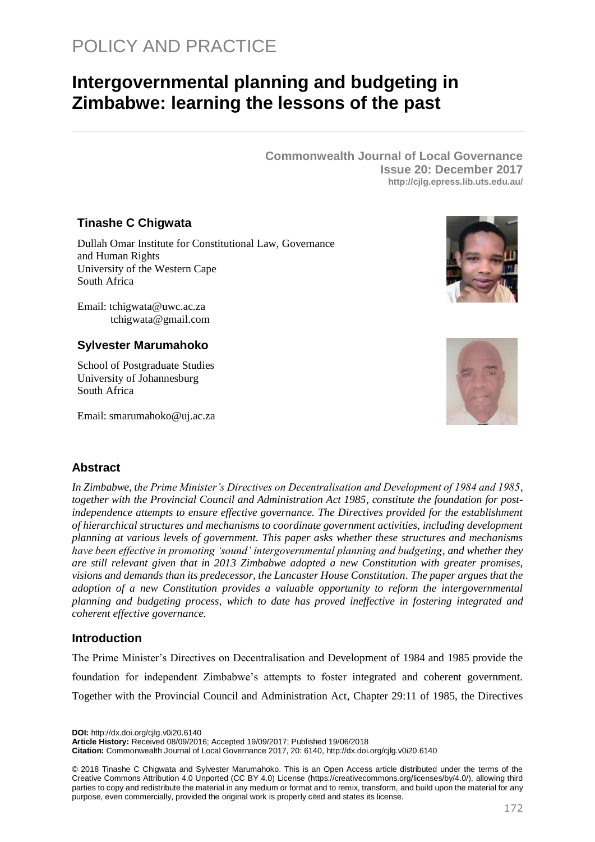# **Intergovernmental planning and budgeting in Zimbabwe: learning the lessons of the past**

**Commonwealth Journal of Local Governance Issue 20: December 2017 http://cjlg.epress.lib.uts.edu.au/**

## **Tinashe C Chigwata**

Dullah Omar Institute for Constitutional Law, Governance and Human Rights University of the Western Cape South Africa

Email: tchigwata@uwc.ac.za tchigwata@gmail.com

#### **Sylvester Marumahoko**

School of Postgraduate Studies University of Johannesburg South Africa

Email: smarumahoko@uj.ac.za





#### **Abstract**

*In Zimbabwe, the Prime Minister's Directives on Decentralisation and Development of 1984 and 1985, together with the Provincial Council and Administration Act 1985, constitute the foundation for postindependence attempts to ensure effective governance. The Directives provided for the establishment of hierarchical structures and mechanisms to coordinate government activities, including development planning at various levels of government. This paper asks whether these structures and mechanisms have been effective in promoting 'sound' intergovernmental planning and budgeting, and whether they are still relevant given that in 2013 Zimbabwe adopted a new Constitution with greater promises, visions and demands than its predecessor, the Lancaster House Constitution. The paper argues that the adoption of a new Constitution provides a valuable opportunity to reform the intergovernmental planning and budgeting process, which to date has proved ineffective in fostering integrated and coherent effective governance.*

#### **Introduction**

The Prime Minister's Directives on Decentralisation and Development of 1984 and 1985 provide the foundation for independent Zimbabwe's attempts to foster integrated and coherent government. Together with the Provincial Council and Administration Act, Chapter 29:11 of 1985, the Directives

**DOI:** http://dx.doi.org/cjlg.v0i20.6140

**Citation:** Commonwealth Journal of Local Governance 2017, 20: 6140, http://dx.doi.org/cjlg.v0i20.6140

**Article History:** Received 08/09/2016; Accepted 19/09/2017; Published 19/06/2018

<sup>© 2018</sup> Tinashe C Chigwata and Sylvester Marumahoko. This is an Open Access article distributed under the terms of the Creative Commons Attribution 4.0 Unported (CC BY 4.0) License [\(https://creativecommons.org/licenses/by/4.0/\)](https://creativecommons.org/licenses/by/4.0/), allowing third parties to copy and redistribute the material in any medium or format and to remix, transform, and build upon the material for any purpose, even commercially, provided the original work is properly cited and states its license.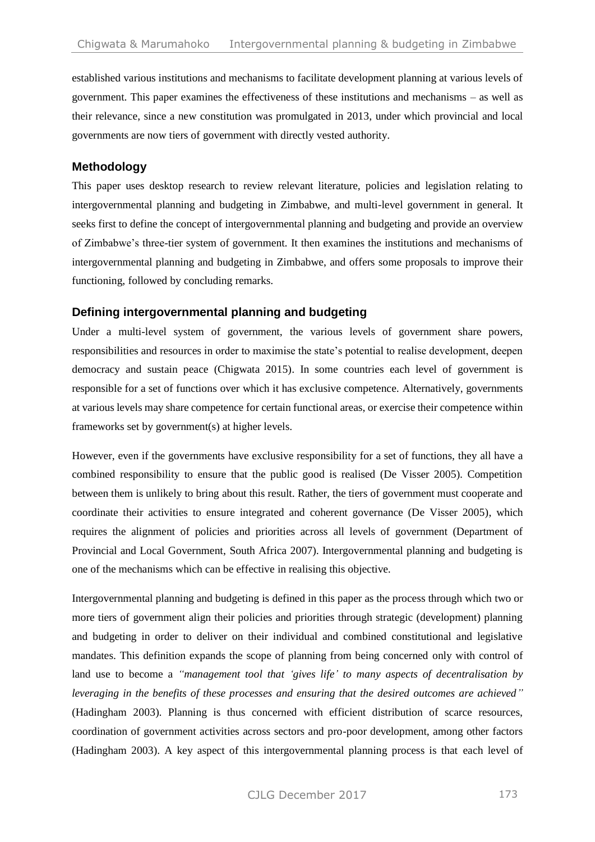established various institutions and mechanisms to facilitate development planning at various levels of government. This paper examines the effectiveness of these institutions and mechanisms – as well as their relevance, since a new constitution was promulgated in 2013, under which provincial and local governments are now tiers of government with directly vested authority.

## **Methodology**

This paper uses desktop research to review relevant literature, policies and legislation relating to intergovernmental planning and budgeting in Zimbabwe, and multi-level government in general. It seeks first to define the concept of intergovernmental planning and budgeting and provide an overview of Zimbabwe's three-tier system of government. It then examines the institutions and mechanisms of intergovernmental planning and budgeting in Zimbabwe, and offers some proposals to improve their functioning, followed by concluding remarks.

#### **Defining intergovernmental planning and budgeting**

Under a multi-level system of government, the various levels of government share powers, responsibilities and resources in order to maximise the state's potential to realise development, deepen democracy and sustain peace (Chigwata 2015). In some countries each level of government is responsible for a set of functions over which it has exclusive competence. Alternatively, governments at various levels may share competence for certain functional areas, or exercise their competence within frameworks set by government(s) at higher levels.

However, even if the governments have exclusive responsibility for a set of functions, they all have a combined responsibility to ensure that the public good is realised (De Visser 2005). Competition between them is unlikely to bring about this result. Rather, the tiers of government must cooperate and coordinate their activities to ensure integrated and coherent governance (De Visser 2005), which requires the alignment of policies and priorities across all levels of government (Department of Provincial and Local Government, South Africa 2007). Intergovernmental planning and budgeting is one of the mechanisms which can be effective in realising this objective.

Intergovernmental planning and budgeting is defined in this paper as the process through which two or more tiers of government align their policies and priorities through strategic (development) planning and budgeting in order to deliver on their individual and combined constitutional and legislative mandates. This definition expands the scope of planning from being concerned only with control of land use to become a *"management tool that 'gives life' to many aspects of decentralisation by leveraging in the benefits of these processes and ensuring that the desired outcomes are achieved"* (Hadingham 2003). Planning is thus concerned with efficient distribution of scarce resources, coordination of government activities across sectors and pro-poor development, among other factors (Hadingham 2003). A key aspect of this intergovernmental planning process is that each level of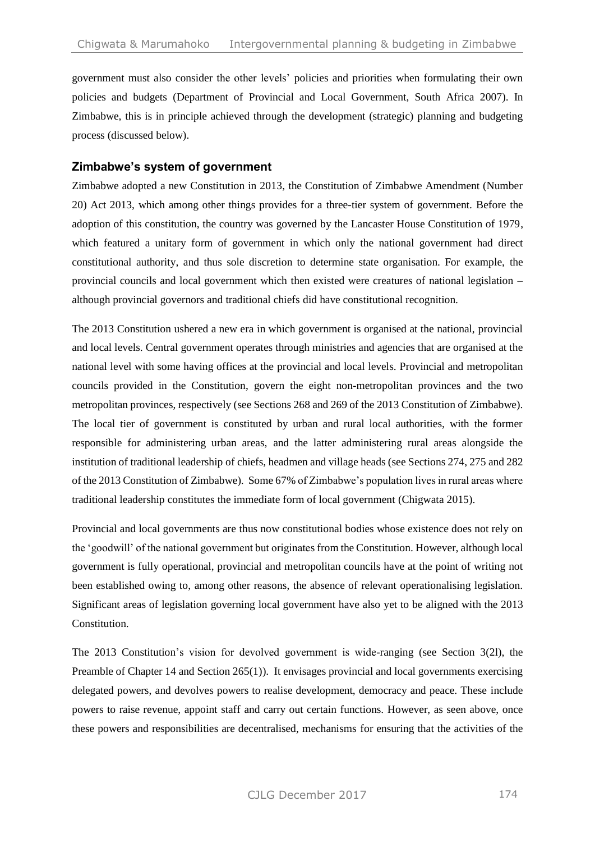government must also consider the other levels' policies and priorities when formulating their own policies and budgets (Department of Provincial and Local Government, South Africa 2007). In Zimbabwe, this is in principle achieved through the development (strategic) planning and budgeting process (discussed below).

## **Zimbabwe's system of government**

Zimbabwe adopted a new Constitution in 2013, the Constitution of Zimbabwe Amendment (Number 20) Act 2013, which among other things provides for a three-tier system of government. Before the adoption of this constitution, the country was governed by the Lancaster House Constitution of 1979, which featured a unitary form of government in which only the national government had direct constitutional authority, and thus sole discretion to determine state organisation. For example, the provincial councils and local government which then existed were creatures of national legislation – although provincial governors and traditional chiefs did have constitutional recognition.

The 2013 Constitution ushered a new era in which government is organised at the national, provincial and local levels. Central government operates through ministries and agencies that are organised at the national level with some having offices at the provincial and local levels. Provincial and metropolitan councils provided in the Constitution, govern the eight non-metropolitan provinces and the two metropolitan provinces, respectively (see Sections 268 and 269 of the 2013 Constitution of Zimbabwe). The local tier of government is constituted by urban and rural local authorities, with the former responsible for administering urban areas, and the latter administering rural areas alongside the institution of traditional leadership of chiefs, headmen and village heads (see Sections 274, 275 and 282 of the 2013 Constitution of Zimbabwe). Some 67% of Zimbabwe's population lives in rural areas where traditional leadership constitutes the immediate form of local government (Chigwata 2015).

Provincial and local governments are thus now constitutional bodies whose existence does not rely on the 'goodwill' of the national government but originatesfrom the Constitution. However, although local government is fully operational, provincial and metropolitan councils have at the point of writing not been established owing to, among other reasons, the absence of relevant operationalising legislation. Significant areas of legislation governing local government have also yet to be aligned with the 2013 Constitution.

The 2013 Constitution's vision for devolved government is wide-ranging (see Section 3(2l), the Preamble of Chapter 14 and Section 265(1)). It envisages provincial and local governments exercising delegated powers, and devolves powers to realise development, democracy and peace. These include powers to raise revenue, appoint staff and carry out certain functions. However, as seen above, once these powers and responsibilities are decentralised, mechanisms for ensuring that the activities of the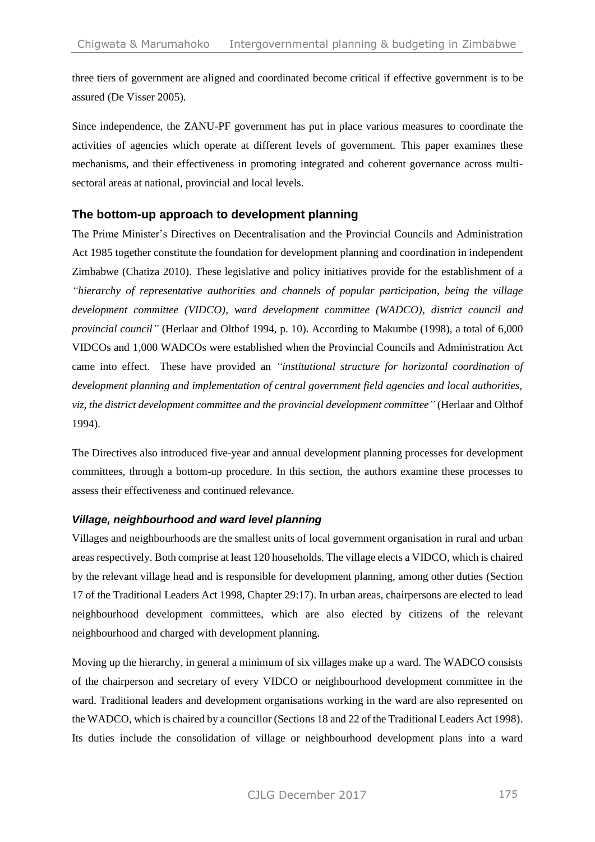three tiers of government are aligned and coordinated become critical if effective government is to be assured (De Visser 2005).

Since independence, the ZANU-PF government has put in place various measures to coordinate the activities of agencies which operate at different levels of government. This paper examines these mechanisms, and their effectiveness in promoting integrated and coherent governance across multisectoral areas at national, provincial and local levels.

# **The bottom-up approach to development planning**

The Prime Minister's Directives on Decentralisation and the Provincial Councils and Administration Act 1985 together constitute the foundation for development planning and coordination in independent Zimbabwe (Chatiza 2010). These legislative and policy initiatives provide for the establishment of a *"hierarchy of representative authorities and channels of popular participation, being the village development committee (VIDCO), ward development committee (WADCO), district council and provincial council"* (Herlaar and Olthof 1994, p. 10). According to Makumbe (1998), a total of 6,000 VIDCOs and 1,000 WADCOs were established when the Provincial Councils and Administration Act came into effect. These have provided an *"institutional structure for horizontal coordination of development planning and implementation of central government field agencies and local authorities, viz, the district development committee and the provincial development committee"* (Herlaar and Olthof 1994).

The Directives also introduced five-year and annual development planning processes for development committees, through a bottom-up procedure. In this section, the authors examine these processes to assess their effectiveness and continued relevance.

## *Village, neighbourhood and ward level planning*

Villages and neighbourhoods are the smallest units of local government organisation in rural and urban areas respectively. Both comprise at least 120 households. The village elects a VIDCO, which is chaired by the relevant village head and is responsible for development planning, among other duties (Section 17 of the Traditional Leaders Act 1998, Chapter 29:17). In urban areas, chairpersons are elected to lead neighbourhood development committees, which are also elected by citizens of the relevant neighbourhood and charged with development planning.

Moving up the hierarchy, in general a minimum of six villages make up a ward. The WADCO consists of the chairperson and secretary of every VIDCO or neighbourhood development committee in the ward. Traditional leaders and development organisations working in the ward are also represented on the WADCO, which is chaired by a councillor (Sections 18 and 22 of the Traditional Leaders Act 1998). Its duties include the consolidation of village or neighbourhood development plans into a ward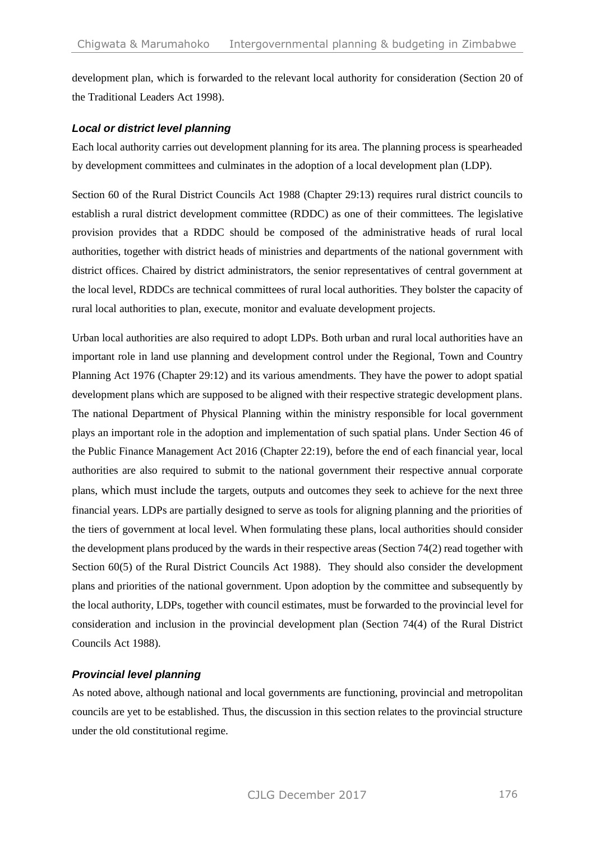development plan, which is forwarded to the relevant local authority for consideration (Section 20 of the Traditional Leaders Act 1998).

#### *Local or district level planning*

Each local authority carries out development planning for its area. The planning process is spearheaded by development committees and culminates in the adoption of a local development plan (LDP).

Section 60 of the Rural District Councils Act 1988 (Chapter 29:13) requires rural district councils to establish a rural district development committee (RDDC) as one of their committees. The legislative provision provides that a RDDC should be composed of the administrative heads of rural local authorities, together with district heads of ministries and departments of the national government with district offices. Chaired by district administrators, the senior representatives of central government at the local level, RDDCs are technical committees of rural local authorities. They bolster the capacity of rural local authorities to plan, execute, monitor and evaluate development projects.

Urban local authorities are also required to adopt LDPs. Both urban and rural local authorities have an important role in land use planning and development control under the Regional, Town and Country Planning Act 1976 (Chapter 29:12) and its various amendments. They have the power to adopt spatial development plans which are supposed to be aligned with their respective strategic development plans. The national Department of Physical Planning within the ministry responsible for local government plays an important role in the adoption and implementation of such spatial plans. Under Section 46 of the Public Finance Management Act 2016 (Chapter 22:19), before the end of each financial year, local authorities are also required to submit to the national government their respective annual corporate plans, which must include the targets, outputs and outcomes they seek to achieve for the next three financial years. LDPs are partially designed to serve as tools for aligning planning and the priorities of the tiers of government at local level. When formulating these plans, local authorities should consider the development plans produced by the wards in their respective areas (Section 74(2) read together with Section 60(5) of the Rural District Councils Act 1988). They should also consider the development plans and priorities of the national government. Upon adoption by the committee and subsequently by the local authority, LDPs, together with council estimates, must be forwarded to the provincial level for consideration and inclusion in the provincial development plan (Section 74(4) of the Rural District Councils Act 1988).

## *Provincial level planning*

As noted above, although national and local governments are functioning, provincial and metropolitan councils are yet to be established. Thus, the discussion in this section relates to the provincial structure under the old constitutional regime.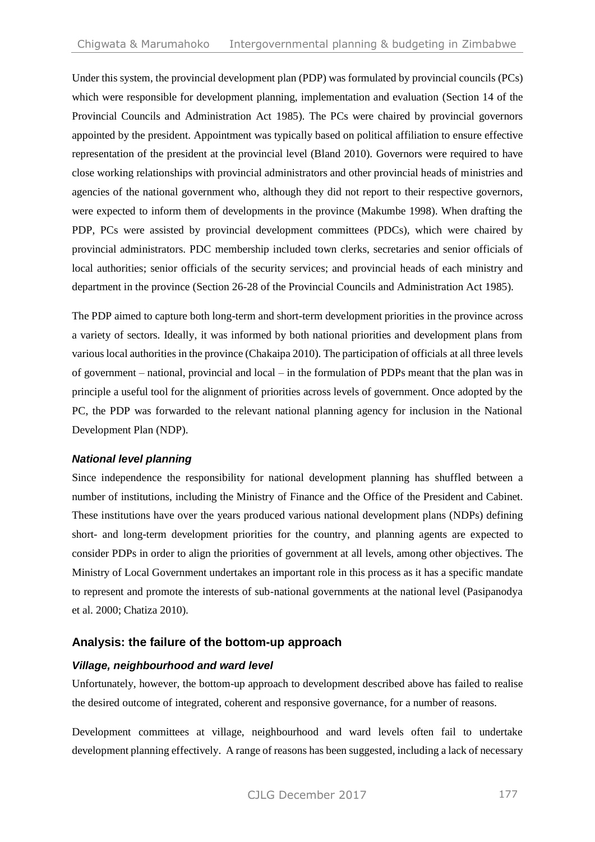Under this system, the provincial development plan (PDP) was formulated by provincial councils (PCs) which were responsible for development planning, implementation and evaluation (Section 14 of the Provincial Councils and Administration Act 1985). The PCs were chaired by provincial governors appointed by the president. Appointment was typically based on political affiliation to ensure effective representation of the president at the provincial level (Bland 2010). Governors were required to have close working relationships with provincial administrators and other provincial heads of ministries and agencies of the national government who, although they did not report to their respective governors, were expected to inform them of developments in the province (Makumbe 1998). When drafting the PDP, PCs were assisted by provincial development committees (PDCs), which were chaired by provincial administrators. PDC membership included town clerks, secretaries and senior officials of local authorities; senior officials of the security services; and provincial heads of each ministry and department in the province (Section 26-28 of the Provincial Councils and Administration Act 1985).

The PDP aimed to capture both long-term and short-term development priorities in the province across a variety of sectors. Ideally, it was informed by both national priorities and development plans from various local authorities in the province (Chakaipa 2010). The participation of officials at all three levels of government – national, provincial and local – in the formulation of PDPs meant that the plan was in principle a useful tool for the alignment of priorities across levels of government. Once adopted by the PC, the PDP was forwarded to the relevant national planning agency for inclusion in the National Development Plan (NDP).

## *National level planning*

Since independence the responsibility for national development planning has shuffled between a number of institutions, including the Ministry of Finance and the Office of the President and Cabinet. These institutions have over the years produced various national development plans (NDPs) defining short- and long-term development priorities for the country, and planning agents are expected to consider PDPs in order to align the priorities of government at all levels, among other objectives. The Ministry of Local Government undertakes an important role in this process as it has a specific mandate to represent and promote the interests of sub-national governments at the national level (Pasipanodya et al. 2000; Chatiza 2010).

## **Analysis: the failure of the bottom-up approach**

## *Village, neighbourhood and ward level*

Unfortunately, however, the bottom-up approach to development described above has failed to realise the desired outcome of integrated, coherent and responsive governance, for a number of reasons.

Development committees at village, neighbourhood and ward levels often fail to undertake development planning effectively. A range of reasons has been suggested, including a lack of necessary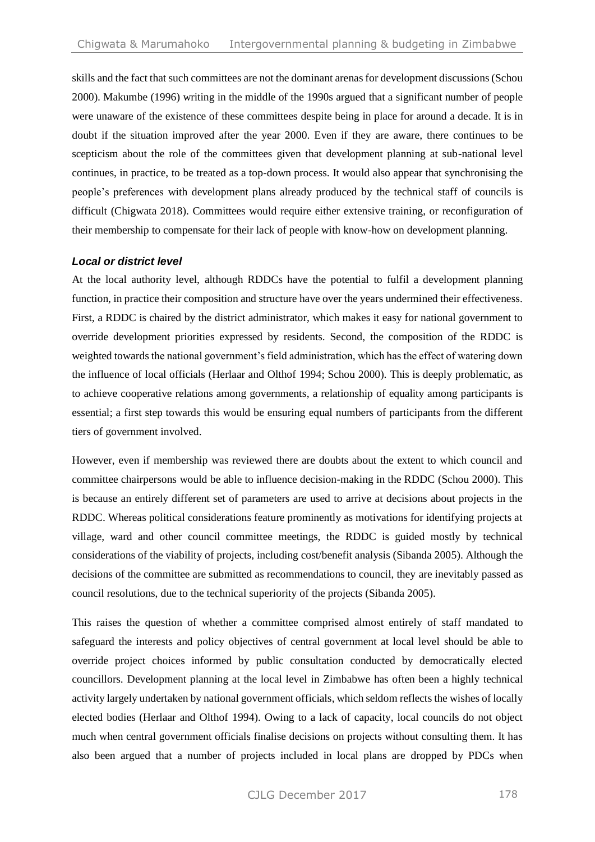skills and the fact that such committees are not the dominant arenas for development discussions (Schou 2000). Makumbe (1996) writing in the middle of the 1990s argued that a significant number of people were unaware of the existence of these committees despite being in place for around a decade. It is in doubt if the situation improved after the year 2000. Even if they are aware, there continues to be scepticism about the role of the committees given that development planning at sub-national level continues, in practice, to be treated as a top-down process. It would also appear that synchronising the people's preferences with development plans already produced by the technical staff of councils is difficult (Chigwata 2018). Committees would require either extensive training, or reconfiguration of their membership to compensate for their lack of people with know-how on development planning.

#### *Local or district level*

At the local authority level, although RDDCs have the potential to fulfil a development planning function, in practice their composition and structure have over the years undermined their effectiveness. First, a RDDC is chaired by the district administrator, which makes it easy for national government to override development priorities expressed by residents. Second, the composition of the RDDC is weighted towards the national government's field administration, which has the effect of watering down the influence of local officials (Herlaar and Olthof 1994; Schou 2000). This is deeply problematic, as to achieve cooperative relations among governments, a relationship of equality among participants is essential; a first step towards this would be ensuring equal numbers of participants from the different tiers of government involved.

However, even if membership was reviewed there are doubts about the extent to which council and committee chairpersons would be able to influence decision-making in the RDDC (Schou 2000). This is because an entirely different set of parameters are used to arrive at decisions about projects in the RDDC. Whereas political considerations feature prominently as motivations for identifying projects at village, ward and other council committee meetings, the RDDC is guided mostly by technical considerations of the viability of projects, including cost/benefit analysis (Sibanda 2005). Although the decisions of the committee are submitted as recommendations to council, they are inevitably passed as council resolutions, due to the technical superiority of the projects (Sibanda 2005).

This raises the question of whether a committee comprised almost entirely of staff mandated to safeguard the interests and policy objectives of central government at local level should be able to override project choices informed by public consultation conducted by democratically elected councillors. Development planning at the local level in Zimbabwe has often been a highly technical activity largely undertaken by national government officials, which seldom reflects the wishes of locally elected bodies (Herlaar and Olthof 1994). Owing to a lack of capacity, local councils do not object much when central government officials finalise decisions on projects without consulting them. It has also been argued that a number of projects included in local plans are dropped by PDCs when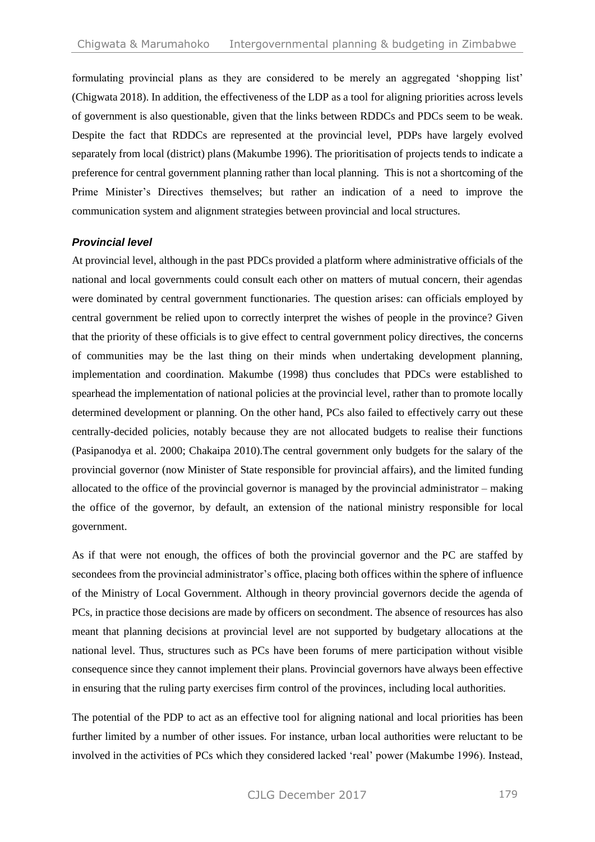formulating provincial plans as they are considered to be merely an aggregated 'shopping list' (Chigwata 2018). In addition, the effectiveness of the LDP as a tool for aligning priorities across levels of government is also questionable, given that the links between RDDCs and PDCs seem to be weak. Despite the fact that RDDCs are represented at the provincial level, PDPs have largely evolved separately from local (district) plans (Makumbe 1996). The prioritisation of projects tends to indicate a preference for central government planning rather than local planning. This is not a shortcoming of the Prime Minister's Directives themselves; but rather an indication of a need to improve the communication system and alignment strategies between provincial and local structures.

#### *Provincial level*

At provincial level, although in the past PDCs provided a platform where administrative officials of the national and local governments could consult each other on matters of mutual concern, their agendas were dominated by central government functionaries. The question arises: can officials employed by central government be relied upon to correctly interpret the wishes of people in the province? Given that the priority of these officials is to give effect to central government policy directives, the concerns of communities may be the last thing on their minds when undertaking development planning, implementation and coordination. Makumbe (1998) thus concludes that PDCs were established to spearhead the implementation of national policies at the provincial level, rather than to promote locally determined development or planning. On the other hand, PCs also failed to effectively carry out these centrally-decided policies, notably because they are not allocated budgets to realise their functions (Pasipanodya et al. 2000; Chakaipa 2010).The central government only budgets for the salary of the provincial governor (now Minister of State responsible for provincial affairs), and the limited funding allocated to the office of the provincial governor is managed by the provincial administrator – making the office of the governor, by default, an extension of the national ministry responsible for local government.

As if that were not enough, the offices of both the provincial governor and the PC are staffed by secondees from the provincial administrator's office, placing both offices within the sphere of influence of the Ministry of Local Government. Although in theory provincial governors decide the agenda of PCs, in practice those decisions are made by officers on secondment. The absence of resources has also meant that planning decisions at provincial level are not supported by budgetary allocations at the national level. Thus, structures such as PCs have been forums of mere participation without visible consequence since they cannot implement their plans. Provincial governors have always been effective in ensuring that the ruling party exercises firm control of the provinces, including local authorities.

The potential of the PDP to act as an effective tool for aligning national and local priorities has been further limited by a number of other issues. For instance, urban local authorities were reluctant to be involved in the activities of PCs which they considered lacked 'real' power (Makumbe 1996). Instead,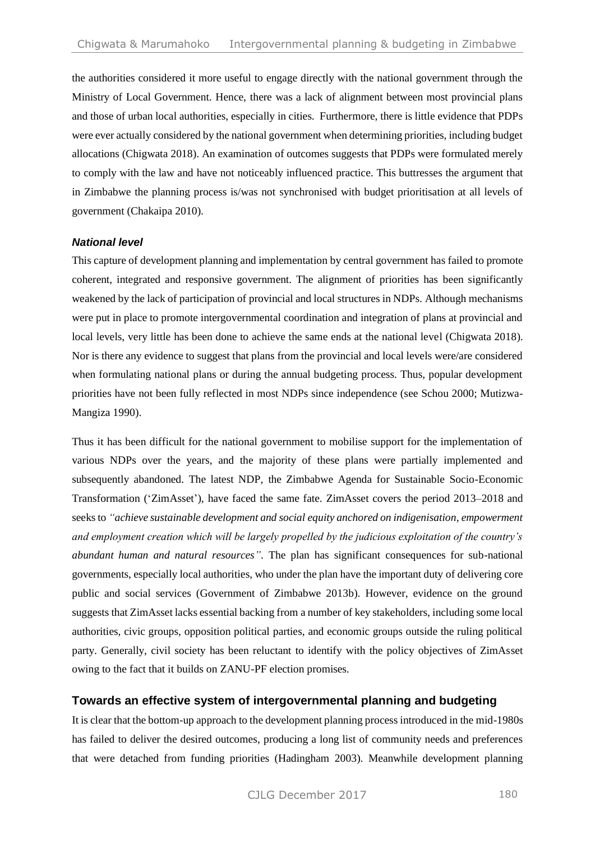the authorities considered it more useful to engage directly with the national government through the Ministry of Local Government. Hence, there was a lack of alignment between most provincial plans and those of urban local authorities, especially in cities. Furthermore, there is little evidence that PDPs were ever actually considered by the national government when determining priorities, including budget allocations (Chigwata 2018). An examination of outcomes suggests that PDPs were formulated merely to comply with the law and have not noticeably influenced practice. This buttresses the argument that in Zimbabwe the planning process is/was not synchronised with budget prioritisation at all levels of government (Chakaipa 2010).

#### *National level*

This capture of development planning and implementation by central government has failed to promote coherent, integrated and responsive government. The alignment of priorities has been significantly weakened by the lack of participation of provincial and local structures in NDPs. Although mechanisms were put in place to promote intergovernmental coordination and integration of plans at provincial and local levels, very little has been done to achieve the same ends at the national level (Chigwata 2018). Nor is there any evidence to suggest that plans from the provincial and local levels were/are considered when formulating national plans or during the annual budgeting process. Thus, popular development priorities have not been fully reflected in most NDPs since independence (see Schou 2000; Mutizwa-Mangiza 1990).

Thus it has been difficult for the national government to mobilise support for the implementation of various NDPs over the years, and the majority of these plans were partially implemented and subsequently abandoned. The latest NDP, the Zimbabwe Agenda for Sustainable Socio-Economic Transformation ('ZimAsset'), have faced the same fate. ZimAsset covers the period 2013–2018 and seeks to *"achieve sustainable development and social equity anchored on indigenisation, empowerment and employment creation which will be largely propelled by the judicious exploitation of the country's abundant human and natural resources"*. The plan has significant consequences for sub-national governments, especially local authorities, who under the plan have the important duty of delivering core public and social services (Government of Zimbabwe 2013b). However, evidence on the ground suggests that ZimAsset lacks essential backing from a number of key stakeholders, including some local authorities, civic groups, opposition political parties, and economic groups outside the ruling political party. Generally, civil society has been reluctant to identify with the policy objectives of ZimAsset owing to the fact that it builds on ZANU-PF election promises.

## **Towards an effective system of intergovernmental planning and budgeting**

It is clear that the bottom-up approach to the development planning process introduced in the mid-1980s has failed to deliver the desired outcomes, producing a long list of community needs and preferences that were detached from funding priorities (Hadingham 2003). Meanwhile development planning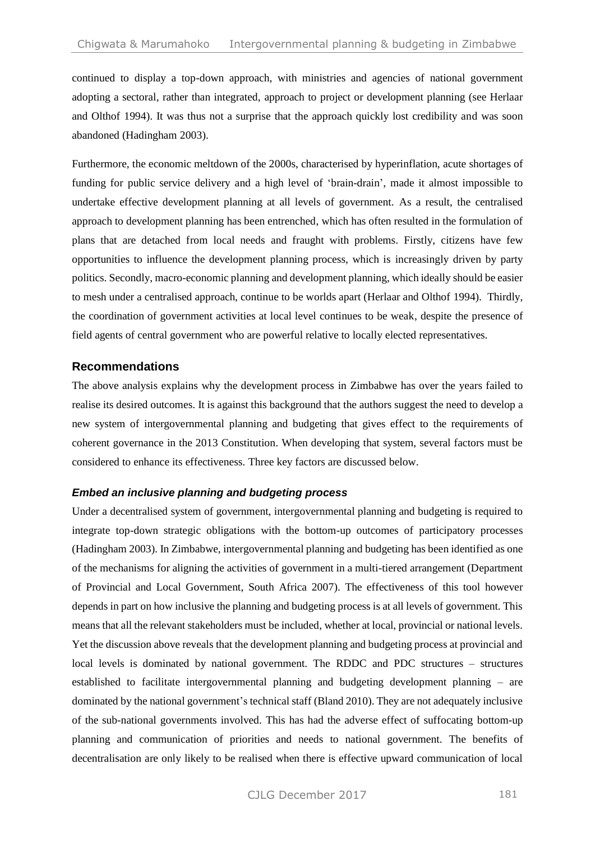continued to display a top-down approach, with ministries and agencies of national government adopting a sectoral, rather than integrated, approach to project or development planning (see Herlaar and Olthof 1994). It was thus not a surprise that the approach quickly lost credibility and was soon abandoned (Hadingham 2003).

Furthermore, the economic meltdown of the 2000s, characterised by hyperinflation, acute shortages of funding for public service delivery and a high level of 'brain-drain', made it almost impossible to undertake effective development planning at all levels of government. As a result, the centralised approach to development planning has been entrenched, which has often resulted in the formulation of plans that are detached from local needs and fraught with problems. Firstly, citizens have few opportunities to influence the development planning process, which is increasingly driven by party politics. Secondly, macro-economic planning and development planning, which ideally should be easier to mesh under a centralised approach, continue to be worlds apart (Herlaar and Olthof 1994). Thirdly, the coordination of government activities at local level continues to be weak, despite the presence of field agents of central government who are powerful relative to locally elected representatives.

## **Recommendations**

The above analysis explains why the development process in Zimbabwe has over the years failed to realise its desired outcomes. It is against this background that the authors suggest the need to develop a new system of intergovernmental planning and budgeting that gives effect to the requirements of coherent governance in the 2013 Constitution. When developing that system, several factors must be considered to enhance its effectiveness. Three key factors are discussed below.

#### *Embed an inclusive planning and budgeting process*

Under a decentralised system of government, intergovernmental planning and budgeting is required to integrate top-down strategic obligations with the bottom-up outcomes of participatory processes (Hadingham 2003). In Zimbabwe, intergovernmental planning and budgeting has been identified as one of the mechanisms for aligning the activities of government in a multi-tiered arrangement (Department of Provincial and Local Government, South Africa 2007). The effectiveness of this tool however depends in part on how inclusive the planning and budgeting process is at all levels of government. This means that all the relevant stakeholders must be included, whether at local, provincial or national levels. Yet the discussion above reveals that the development planning and budgeting process at provincial and local levels is dominated by national government. The RDDC and PDC structures – structures established to facilitate intergovernmental planning and budgeting development planning – are dominated by the national government's technical staff (Bland 2010). They are not adequately inclusive of the sub-national governments involved. This has had the adverse effect of suffocating bottom-up planning and communication of priorities and needs to national government. The benefits of decentralisation are only likely to be realised when there is effective upward communication of local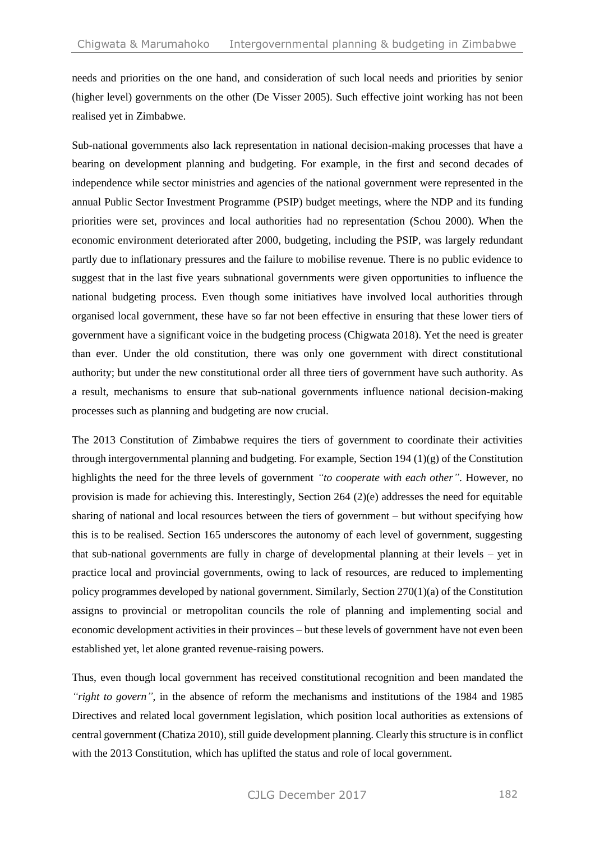needs and priorities on the one hand, and consideration of such local needs and priorities by senior (higher level) governments on the other (De Visser 2005). Such effective joint working has not been realised yet in Zimbabwe.

Sub-national governments also lack representation in national decision-making processes that have a bearing on development planning and budgeting. For example, in the first and second decades of independence while sector ministries and agencies of the national government were represented in the annual Public Sector Investment Programme (PSIP) budget meetings, where the NDP and its funding priorities were set, provinces and local authorities had no representation (Schou 2000). When the economic environment deteriorated after 2000, budgeting, including the PSIP, was largely redundant partly due to inflationary pressures and the failure to mobilise revenue. There is no public evidence to suggest that in the last five years subnational governments were given opportunities to influence the national budgeting process. Even though some initiatives have involved local authorities through organised local government, these have so far not been effective in ensuring that these lower tiers of government have a significant voice in the budgeting process (Chigwata 2018). Yet the need is greater than ever. Under the old constitution, there was only one government with direct constitutional authority; but under the new constitutional order all three tiers of government have such authority. As a result, mechanisms to ensure that sub-national governments influence national decision-making processes such as planning and budgeting are now crucial.

The 2013 Constitution of Zimbabwe requires the tiers of government to coordinate their activities through intergovernmental planning and budgeting. For example, Section 194 (1)(g) of the Constitution highlights the need for the three levels of government *"to cooperate with each other"*. However, no provision is made for achieving this. Interestingly, Section 264 (2)(e) addresses the need for equitable sharing of national and local resources between the tiers of government – but without specifying how this is to be realised. Section 165 underscores the autonomy of each level of government, suggesting that sub-national governments are fully in charge of developmental planning at their levels – yet in practice local and provincial governments, owing to lack of resources, are reduced to implementing policy programmes developed by national government. Similarly, Section 270(1)(a) of the Constitution assigns to provincial or metropolitan councils the role of planning and implementing social and economic development activities in their provinces – but these levels of government have not even been established yet, let alone granted revenue-raising powers.

Thus, even though local government has received constitutional recognition and been mandated the *"right to govern"*, in the absence of reform the mechanisms and institutions of the 1984 and 1985 Directives and related local government legislation, which position local authorities as extensions of central government (Chatiza 2010), still guide development planning. Clearly this structure is in conflict with the 2013 Constitution, which has uplifted the status and role of local government.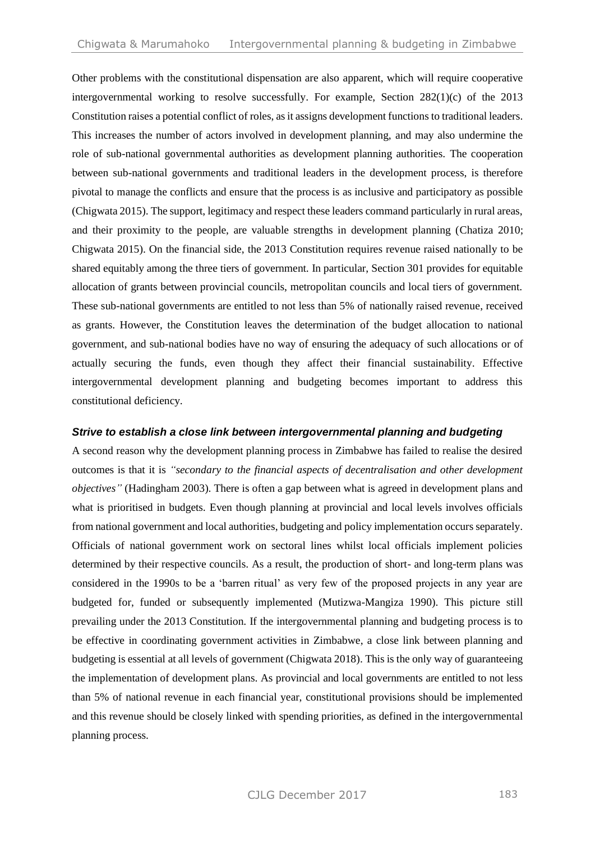Other problems with the constitutional dispensation are also apparent, which will require cooperative intergovernmental working to resolve successfully. For example, Section 282(1)(c) of the 2013 Constitution raises a potential conflict of roles, as it assigns development functions to traditional leaders. This increases the number of actors involved in development planning, and may also undermine the role of sub-national governmental authorities as development planning authorities. The cooperation between sub-national governments and traditional leaders in the development process, is therefore pivotal to manage the conflicts and ensure that the process is as inclusive and participatory as possible (Chigwata 2015). The support, legitimacy and respect these leaders command particularly in rural areas, and their proximity to the people, are valuable strengths in development planning (Chatiza 2010; Chigwata 2015). On the financial side, the 2013 Constitution requires revenue raised nationally to be shared equitably among the three tiers of government. In particular, Section 301 provides for equitable allocation of grants between provincial councils, metropolitan councils and local tiers of government. These sub-national governments are entitled to not less than 5% of nationally raised revenue, received as grants. However, the Constitution leaves the determination of the budget allocation to national government, and sub-national bodies have no way of ensuring the adequacy of such allocations or of actually securing the funds, even though they affect their financial sustainability. Effective intergovernmental development planning and budgeting becomes important to address this constitutional deficiency.

#### *Strive to establish a close link between intergovernmental planning and budgeting*

A second reason why the development planning process in Zimbabwe has failed to realise the desired outcomes is that it is *"secondary to the financial aspects of decentralisation and other development objectives"* (Hadingham 2003). There is often a gap between what is agreed in development plans and what is prioritised in budgets. Even though planning at provincial and local levels involves officials from national government and local authorities, budgeting and policy implementation occurs separately. Officials of national government work on sectoral lines whilst local officials implement policies determined by their respective councils. As a result, the production of short- and long-term plans was considered in the 1990s to be a 'barren ritual' as very few of the proposed projects in any year are budgeted for, funded or subsequently implemented (Mutizwa-Mangiza 1990). This picture still prevailing under the 2013 Constitution. If the intergovernmental planning and budgeting process is to be effective in coordinating government activities in Zimbabwe, a close link between planning and budgeting is essential at all levels of government (Chigwata 2018). This is the only way of guaranteeing the implementation of development plans. As provincial and local governments are entitled to not less than 5% of national revenue in each financial year, constitutional provisions should be implemented and this revenue should be closely linked with spending priorities, as defined in the intergovernmental planning process.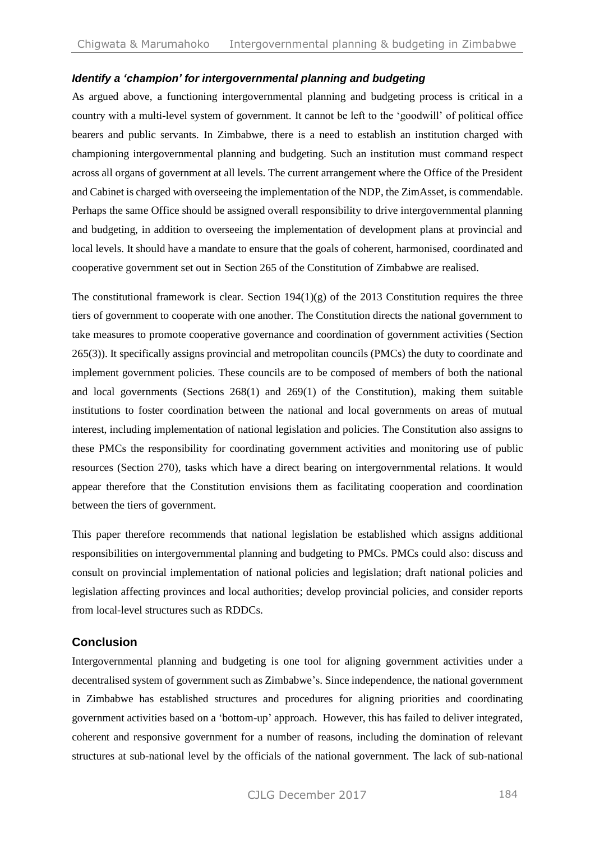#### *Identify a 'champion' for intergovernmental planning and budgeting*

As argued above, a functioning intergovernmental planning and budgeting process is critical in a country with a multi-level system of government. It cannot be left to the 'goodwill' of political office bearers and public servants. In Zimbabwe, there is a need to establish an institution charged with championing intergovernmental planning and budgeting. Such an institution must command respect across all organs of government at all levels. The current arrangement where the Office of the President and Cabinet is charged with overseeing the implementation of the NDP, the ZimAsset, is commendable. Perhaps the same Office should be assigned overall responsibility to drive intergovernmental planning and budgeting, in addition to overseeing the implementation of development plans at provincial and local levels. It should have a mandate to ensure that the goals of coherent, harmonised, coordinated and cooperative government set out in Section 265 of the Constitution of Zimbabwe are realised.

The constitutional framework is clear. Section  $194(1)(g)$  of the 2013 Constitution requires the three tiers of government to cooperate with one another. The Constitution directs the national government to take measures to promote cooperative governance and coordination of government activities (Section 265(3)). It specifically assigns provincial and metropolitan councils (PMCs) the duty to coordinate and implement government policies. These councils are to be composed of members of both the national and local governments (Sections 268(1) and 269(1) of the Constitution), making them suitable institutions to foster coordination between the national and local governments on areas of mutual interest, including implementation of national legislation and policies. The Constitution also assigns to these PMCs the responsibility for coordinating government activities and monitoring use of public resources (Section 270), tasks which have a direct bearing on intergovernmental relations. It would appear therefore that the Constitution envisions them as facilitating cooperation and coordination between the tiers of government.

This paper therefore recommends that national legislation be established which assigns additional responsibilities on intergovernmental planning and budgeting to PMCs. PMCs could also: discuss and consult on provincial implementation of national policies and legislation; draft national policies and legislation affecting provinces and local authorities; develop provincial policies, and consider reports from local-level structures such as RDDCs.

## **Conclusion**

Intergovernmental planning and budgeting is one tool for aligning government activities under a decentralised system of government such as Zimbabwe's. Since independence, the national government in Zimbabwe has established structures and procedures for aligning priorities and coordinating government activities based on a 'bottom-up' approach. However, this has failed to deliver integrated, coherent and responsive government for a number of reasons, including the domination of relevant structures at sub-national level by the officials of the national government. The lack of sub-national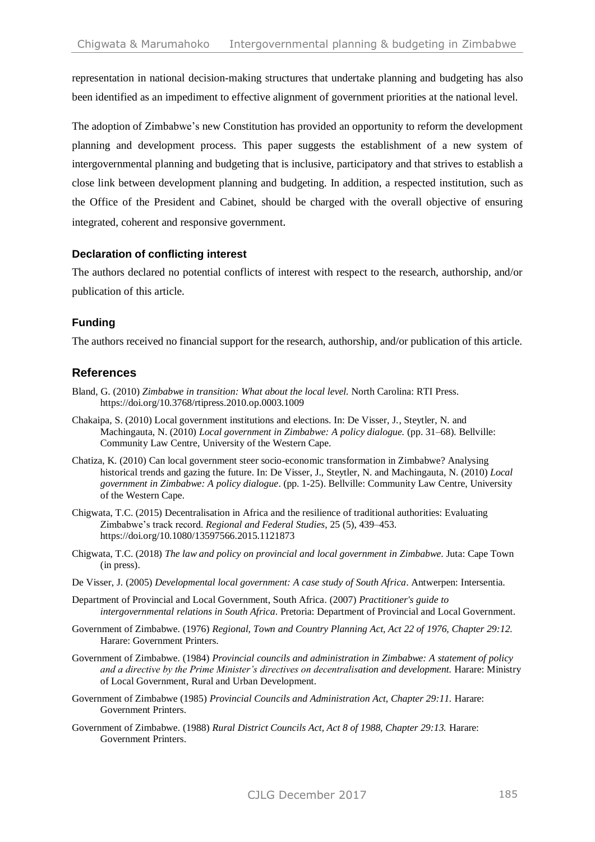representation in national decision-making structures that undertake planning and budgeting has also been identified as an impediment to effective alignment of government priorities at the national level.

The adoption of Zimbabwe's new Constitution has provided an opportunity to reform the development planning and development process. This paper suggests the establishment of a new system of intergovernmental planning and budgeting that is inclusive, participatory and that strives to establish a close link between development planning and budgeting. In addition, a respected institution, such as the Office of the President and Cabinet, should be charged with the overall objective of ensuring integrated, coherent and responsive government.

#### **Declaration of conflicting interest**

The authors declared no potential conflicts of interest with respect to the research, authorship, and/or publication of this article.

## **Funding**

The authors received no financial support for the research, authorship, and/or publication of this article.

## **References**

- Bland, G. (2010) *Zimbabwe in transition: What about the local level.* North Carolina: RTI Press. <https://doi.org/10.3768/rtipress.2010.op.0003.1009>
- Chakaipa, S. (2010) Local government institutions and elections. In: De Visser, J., Steytler, N. and Machingauta, N. (2010) *Local government in Zimbabwe: A policy dialogue.* (pp. 31–68). Bellville: Community Law Centre, University of the Western Cape.
- Chatiza, K. (2010) Can local government steer socio-economic transformation in Zimbabwe? Analysing historical trends and gazing the future. In: De Visser, J., Steytler, N. and Machingauta, N. (2010) *Local government in Zimbabwe: A policy dialogue*. (pp. 1-25). Bellville: Community Law Centre, University of the Western Cape.
- Chigwata, T.C. (2015) Decentralisation in Africa and the resilience of traditional authorities: Evaluating Zimbabwe's track record. *Regional and Federal Studies,* 25 (5), 439–453. <https://doi.org/10.1080/13597566.2015.1121873>
- Chigwata, T.C. (2018) *The law and policy on provincial and local government in Zimbabwe*. Juta: Cape Town (in press).
- De Visser, J. (2005) *Developmental local government: A case study of South Africa*. Antwerpen: Intersentia.
- Department of Provincial and Local Government, South Africa. (2007) *Practitioner's guide to intergovernmental relations in South Africa*. Pretoria: Department of Provincial and Local Government.
- Government of Zimbabwe. (1976) *Regional, Town and Country Planning Act, Act 22 of 1976, Chapter 29:12.* Harare: Government Printers.
- Government of Zimbabwe. (1984) *Provincial councils and administration in Zimbabwe: A statement of policy and a directive by the Prime Minister's directives on decentralisation and development.* Harare: Ministry of Local Government, Rural and Urban Development.
- Government of Zimbabwe (1985) *Provincial Councils and Administration Act, Chapter 29:11.* Harare: Government Printers.
- Government of Zimbabwe. (1988) *Rural District Councils Act, Act 8 of 1988, Chapter 29:13.* Harare: Government Printers.